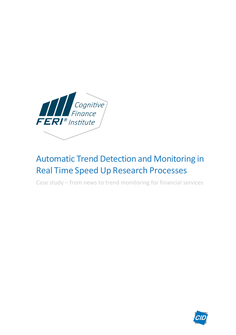

# Automatic Trend Detection and Monitoring in Real Time Speed Up Research Processes

Case study – from news to trend monitoring for financial services

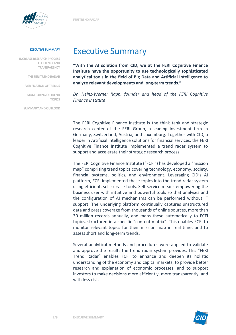

**INCREASE RESEARCH PROCESS EFFICIENCYAND TRANSPARENCY**

**THEFERI TRENDRADAR**

**VERIFICATIONOFTRENDS**

**MONITORINGOFTREND TOPICS**

**SUMMARYANDOUTLOOK**

### Executive Summary

**"With the AI solution from CID, we at the FERI Cognitive Finance Institute have the opportunity to use technologically sophisticated analytical tools in the field of Big Data and Artificial Intelligence to analyze relevant developments and long-term trends."**

*Dr. Heinz-Werner Rapp, founder and head of the FERI Cognitive Finance Institute*

The FERI Cognitive Finance Institute is the think tank and strategic research center of the FERI Group, a leading investment firm in Germany, Switzerland, Austria, and Luxemburg. Together with CID, a leader in Artificial Intelligence solutions for financial services, the FERI Cognitive Finance Institute implemented a trend radar system to support and accelerate their strategic research process.

The FERI Cognitive Finance Institute ("FCFI") has developed a "mission map" comprising trend topics covering technology, economy, society, financial systems, politics, and environment. Leveraging CID's AI platform, FCFI implemented these topics into the trend radar system using efficient, self-service tools. Self-service means empowering the business user with intuitive and powerful tools so that analyses and the configuration of AI mechanisms can be performed without IT support. The underlying platform continually captures unstructured data and press coverage from thousands of online sources, more than 30 million records annually, and maps these automatically to FCFI topics, structured in a specific "content matrix". This enables FCFI to monitor relevant topics for their mission map in real time, and to assess short and long-term trends.

Several analytical methods and procedures were applied to validate and approve the results the trend radar system provides. This "FERI Trend Radar" enables FCFI to enhance and deepen its holistic understanding of the economy and capital markets, to provide better research and explanation of economic processes, and to support investors to make decisions more efficiently, more transparently, and with less risk.

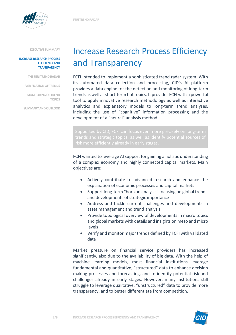

#### **INCREASE RESEARCH PROCESS EFFICIENCYAND TRANSPARENCY**

**THEFERI TRENDRADAR**

**VERIFICATIONOFTRENDS**

**MONITORINGOFTREND TOPICS**

**SUMMARYANDOUTLOOK**

# Increase Research Process Efficiency and Transparency

FCFI intended to implement a sophisticated trend radar system. With its automated data collection and processing, CID's AI platform provides a data engine for the detection and monitoring of long-term trends as well asshort-term hot topics. It provides FCFI with a powerful tool to apply innovative research methodology as well as interactive analytics and explanatory models to long-term trend analyses, including the use of "cognitive" information processing and the development of a "neural" analysis method.

FCFI wanted to leverage AI support for gaining a holistic understanding of a complex economy and highly connected capital markets. Main objectives are:

- Actively contribute to advanced research and enhance the explanation of economic processes and capital markets
- Support long-term "horizon analysis" focusing on global trends and developments of strategic importance
- Address and tackle current challenges and developments in asset management and trend analysis
- Provide topological overview of developments in macro topics and global markets with details and insights on meso and micro levels
- Verify and monitor major trends defined by FCFI with validated data

Market pressure on financial service providers has increased significantly, also due to the availability of big data. With the help of machine learning models, most financial institutions leverage fundamental and quantitative, "structured" data to enhance decision making processes and forecasting, and to identify potential risk and challenges already in early stages. However, many institutions still struggle to leverage qualitative, "unstructured" data to provide more transparency, and to better differentiate from competition.

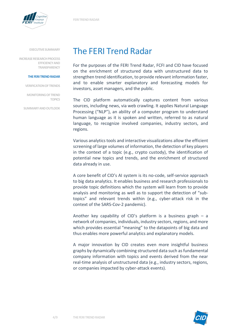



**INCREASE RESEARCH PROCESS EFFICIENCYAND TRANSPARENCY**

#### **THEFERI TRENDRADAR**

**VERIFICATIONOFTRENDS**

**MONITORINGOFTREND TOPICS**

**SUMMARYANDOUTLOOK**

## The FERI Trend Radar

For the purposes of the FERI Trend Radar, FCFI and CID have focused on the enrichment of structured data with unstructured data to strengthen trend identification, to provide relevant information faster, and to enable smarter explanatory and forecasting models for investors, asset managers, and the public.

The CID platform automatically captures content from various sources, including news, via web crawling. It applies Natural Language Processing ("NLP"), an ability of a computer program to understand human language as it is spoken and written, referred to as natural language, to recognize involved companies, industry sectors, and regions.

Various analytics tools and interactive visualizations allow the efficient screening of large volumes of information, the detection of key players in the context of a topic (e.g., crypto custody), the identification of potential new topics and trends, and the enrichment of structured data already in use.

A core benefit of CID's AI system is its no-code, self-service approach to big data analytics. It enables business and research professionals to provide topic definitions which the system will learn from to provide analysis and monitoring as well as to support the detection of "subtopics" and relevant trends within (e.g., cyber-attack risk in the context of the SARS-Cov-2 pandemic).

Another key capability of CID's platform is a business graph  $-$  a network of companies, individuals, industry sectors, regions, and more which provides essential "meaning" to the datapoints of big data and thus enables more powerful analytics and explanatory models.

A major innovation by CID creates even more insightful business graphs by dynamically combining structured data such as fundamental company information with topics and events derived from the near real-time analysis of unstructured data (e.g., industry sectors, regions, or companies impacted by cyber-attack events).

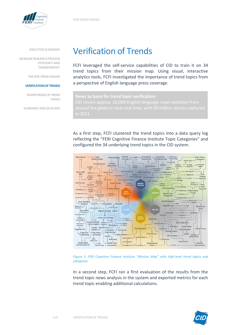

**INCREASE RESEARCH PROCESS EFFICIENCYAND TRANSPARENCY**

**THE FERI TREND RADAR** 

#### **VERIFICATIONOFTRENDS**

**MONITORINGOFTREND TOPICS**

**SUMMARYANDOUTLOOK**

## Verification of Trends

FCFI leveraged the self-service capabilities of CID to train it on 34 trend topics from their mission map. Using visual, interactive analytics tools, FCFI investigated the importance of trend topics from a perspective of English language press coverage.

As a first step, FCFI clustered the trend topics into a data query log reflecting the "FERI Cognitive Finance Institute Topic Categories" and configured the 34 underlying trend topics in the CID system.



*Figure 1: FERI Cognitive Finance Institute "Mission Map" with high-level trend topics and categories*

In a second step, FCFI ran a first evaluation of the results from the trend topic news analysis in the system and exported metrics for each trend topic enabling additional calculations.

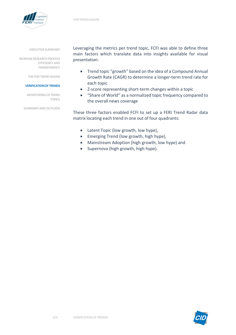

**INCREASE RESEARCH PROCESS EFFICIENCYAND TRANSPARENCY**

**THEFERI TRENDRADAR**

#### **VERIFICATIONOFTRENDS**

**MONITORINGOFTREND TOPICS**

**SUMMARYANDOUTLOOK**

Leveraging the metrics per trend topic, FCFI was able to define three main factors which translate data into insights available for visual presentation:

- Trend topic "growth" based on the idea of a Compound Annual Growth Rate (CAGR) to determine a longer-term trend rate for each topic
- Z-score representing short-term changes within a topic
- "Share of World" as a normalized topic frequency compared to the overall news coverage

These three factors enabled FCFI to set up a FERI Trend Radar data matrix locating each trend in one out of four quadrants:

- Latent Topic (low growth, low hype),
- Emerging Trend (low growth, high hype),
- Mainstream Adoption (high growth, low hype) and
- Supernova (high growth, high hype).

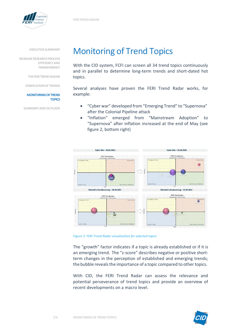

**INCREASE RESEARCH PROCESS EFFICIENCYAND TRANSPARENCY**

**THE FERI TREND RADAR** 

#### **VERIFICATIONOFTRENDS**

#### **MONITORINGOFTREND TOPICS**

**SUMMARYANDOUTLOOK**

### Monitoring of Trend Topics

With the CID system, FCFI can screen all 34 trend topics continuously and in parallel to determine long-term trends and short-dated hot topics.

Several analyses have proven the FERI Trend Radar works, for example:

- "Cyber war" developed from "Emerging Trend" to "Supernova" after the Colonial Pipeline attack
- "Inflation" emerged from "Mainstream Adoption" to "Supernova" after inflation increased at the end of May (see figure 2, bottom right)



*Figure 2: FERI Trend Radar visualization for selected topics*

The "growth" factor indicates if a topic is already established or if it is an emerging trend. The "z-score" describes negative or positive shortterm changes in the perception of established and emerging trends; the bubble reveals the importance of a topic compared to other topics.

With CID, the FERI Trend Radar can assess the relevance and potential perseverance of trend topics and provide an overview of recent developments on a macro level.

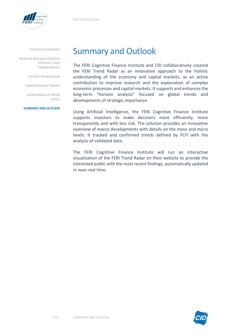

**INCREASE RESEARCH PROCESS EFFICIENCYAND TRANSPARENCY**

**THEFERI TRENDRADAR**

**VERIFICATIONOFTRENDS**

**MONITORINGOFTREND TOPICS**

#### **SUMMARYANDOUTLOOK**

### Summary and Outlook

The FERI Cognitive Finance Institute and CID collaboratively created the FERI Trend Radar as an innovative approach to the holistic understanding of the economy and capital markets, as an active contribution to improve research and the explanation of complex economic processes and capital markets. It supports and enhances the long-term "horizon analysis" focused on global trends and developments of strategic importance.

Using Artificial Intelligence, the FERI Cognitive Finance Institute supports investors to make decisions more efficiently, more transparently and with less risk. The solution provides an innovative overview of macro developments with details on the meso and micro levels. It tracked and confirmed trends defined by FCFI with the analysis of validated data.

The FERI Cognitive Finance Institute will run an interactive visualization of the FERI Trend Radar on their website to provide the interested public with the most recent findings, automatically updated in near-real time.